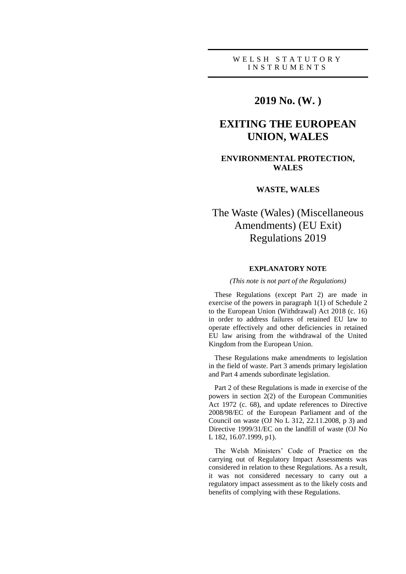# WELSH STATUTORY I N S T R U M E N T S

# **2019 No. (W. )**

# **EXITING THE EUROPEAN UNION, WALES**

# **ENVIRONMENTAL PROTECTION, WALES**

# **WASTE, WALES**

# The Waste (Wales) (Miscellaneous Amendments) (EU Exit) Regulations 2019

## **EXPLANATORY NOTE**

## *(This note is not part of the Regulations)*

These Regulations (except Part 2) are made in exercise of the powers in paragraph 1(1) of Schedule 2 to the European Union (Withdrawal) Act 2018 (c. 16) in order to address failures of retained EU law to operate effectively and other deficiencies in retained EU law arising from the withdrawal of the United Kingdom from the European Union.

These Regulations make amendments to legislation in the field of waste. Part 3 amends primary legislation and Part 4 amends subordinate legislation.

Part 2 of these Regulations is made in exercise of the powers in section 2(2) of the European Communities Act 1972 (c. 68), and update references to Directive 2008/98/EC of the European Parliament and of the Council on waste (OJ No L 312, 22.11.2008, p 3) and Directive 1999/31/EC on the landfill of waste (OJ No L 182, 16.07.1999, p1).

The Welsh Ministers' Code of Practice on the carrying out of Regulatory Impact Assessments was considered in relation to these Regulations. As a result, it was not considered necessary to carry out a regulatory impact assessment as to the likely costs and benefits of complying with these Regulations.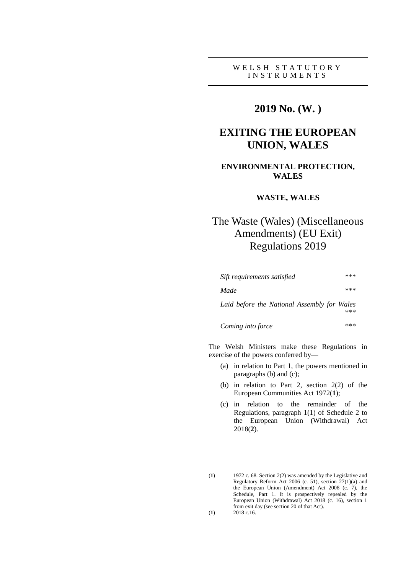# W E L S H S T A T U T O R Y I N S T R U M E N T S

# **2019 No. (W. )**

# **EXITING THE EUROPEAN UNION, WALES**

# **ENVIRONMENTAL PROTECTION, WALES**

# **WASTE, WALES**

# The Waste (Wales) (Miscellaneous Amendments) (EU Exit) Regulations 2019

| Sift requirements satisfied                 | *** |
|---------------------------------------------|-----|
| Made                                        | *** |
| Laid before the National Assembly for Wales | *** |
| Coming into force                           | *** |

The Welsh Ministers make these Regulations in exercise of the powers conferred by—

- (a) in relation to Part 1, the powers mentioned in paragraphs (b) and (c);
- (b) in relation to Part 2, section 2(2) of the European Communities Act 1972(**1**);
- (c) in relation to the remainder of the Regulations, paragraph 1(1) of Schedule 2 to the European Union (Withdrawal) Act 2018(**2**).

<sup>(</sup>**1**) 1972 c. 68. Section 2(2) was amended by the Legislative and Regulatory Reform Act 2006 (c. 51), section  $27(1)(a)$  and the European Union (Amendment) Act 2008 (c. 7), the Schedule, Part 1. It is prospectively repealed by the European Union (Withdrawal) Act 2018 (c. 16), section 1 from exit day (see section 20 of that Act). (**1**) 2018 c.16.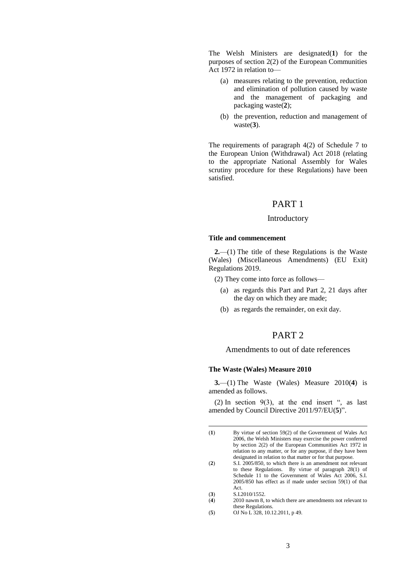The Welsh Ministers are designated(**1**) for the purposes of section 2(2) of the European Communities Act 1972 in relation to—

- (a) measures relating to the prevention, reduction and elimination of pollution caused by waste and the management of packaging and packaging waste(**2**);
- (b) the prevention, reduction and management of waste(**3**).

The requirements of paragraph 4(2) of Schedule 7 to the European Union (Withdrawal) Act 2018 (relating to the appropriate National Assembly for Wales scrutiny procedure for these Regulations) have been satisfied.

# PART 1

### Introductory

# **Title and commencement**

**2.**—(1) The title of these Regulations is the Waste (Wales) (Miscellaneous Amendments) (EU Exit) Regulations 2019.

- (2) They come into force as follows—
	- (a) as regards this Part and Part 2, 21 days after the day on which they are made;
	- (b) as regards the remainder, on exit day.

# PART 2

# Amendments to out of date references

#### **The Waste (Wales) Measure 2010**

**3.**—(1) The Waste (Wales) Measure 2010(**4**) is amended as follows.

(2) In section  $9(3)$ , at the end insert ", as last amended by Council Directive 2011/97/EU(**5**)".

(**3**) S.I.2010/1552.

- (**4**) 2010 nawm 8, to which there are amendments not relevant to these Regulations.
- (**5**) OJ No L 328, 10.12.2011, p 49.

<sup>(</sup>**1**) By virtue of section 59(2) of the Government of Wales Act 2006, the Welsh Ministers may exercise the power conferred by section 2(2) of the European Communities Act 1972 in relation to any matter, or for any purpose, if they have been designated in relation to that matter or for that purpose.

<sup>(</sup>**2**) S.I. 2005/850, to which there is an amendment not relevant to these Regulations. By virtue of paragraph 28(1) of Schedule 11 to the Government of Wales Act 2006, S.I. 2005/850 has effect as if made under section 59(1) of that Act.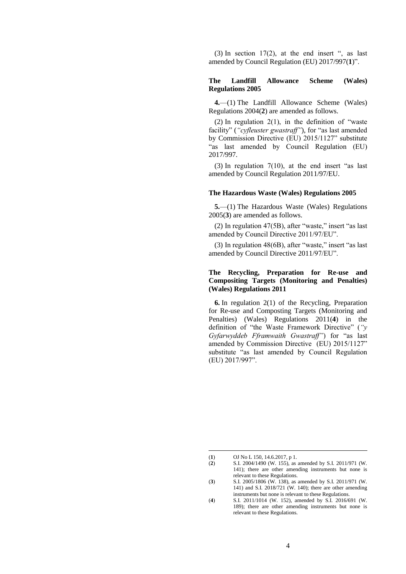(3) In section  $17(2)$ , at the end insert ", as last amended by Council Regulation (EU) 2017/997(**1**)".

# **The Landfill Allowance Scheme (Wales) Regulations 2005**

**4.**—(1) The Landfill Allowance Scheme (Wales) Regulations 2004(**2**) are amended as follows.

(2) In regulation  $2(1)$ , in the definition of "waste facility" (*"cyfleuster gwastraff"*), for "as last amended by Commission Directive (EU) 2015/1127" substitute "as last amended by Council Regulation (EU) 2017/997.

(3) In regulation 7(10), at the end insert "as last amended by Council Regulation 2011/97/EU.

#### **The Hazardous Waste (Wales) Regulations 2005**

**5.**—(1) The Hazardous Waste (Wales) Regulations 2005(**3**) are amended as follows.

(2) In regulation 47(5B), after "waste," insert "as last amended by Council Directive 2011/97/EU".

(3) In regulation 48(6B), after "waste," insert "as last amended by Council Directive 2011/97/EU".

# **The Recycling, Preparation for Re-use and Compositing Targets (Monitoring and Penalties) (Wales) Regulations 2011**

**6.** In regulation 2(1) of the Recycling, Preparation for Re-use and Composting Targets (Monitoring and Penalties) (Wales) Regulations 2011(**4**) in the definition of "the Waste Framework Directive" (*"y Gyfarwyddeb Fframwaith Gwastraff"*) for "as last amended by Commission Directive (EU) 2015/1127" substitute "as last amended by Council Regulation (EU) 2017/997".

<sup>(</sup>**1**) OJ No L 150, 14.6.2017, p 1.

<sup>(</sup>**2**) S.I. 2004/1490 (W. 155), as amended by S.I. 2011/971 (W. 141); there are other amending instruments but none is relevant to these Regulations.

<sup>(</sup>**3**) S.I. 2005/1806 (W. 138), as amended by S.I. 2011/971 (W. 141) and S.I. 2018/721 (W. 140); there are other amending instruments but none is relevant to these Regulations.

<sup>(</sup>**4**) S.I. 2011/1014 (W. 152), amended by S.I. 2016/691 (W. 189); there are other amending instruments but none is relevant to these Regulations.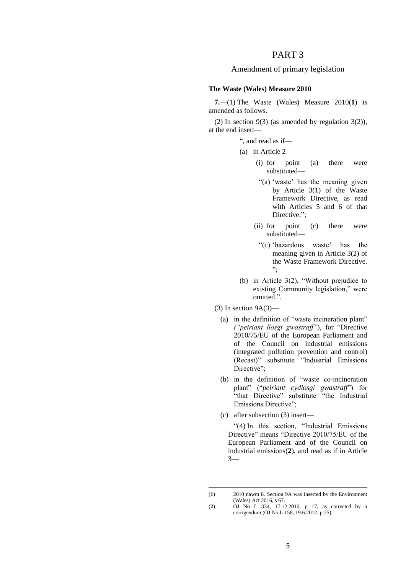# PART 3

# Amendment of primary legislation

## **The Waste (Wales) Measure 2010**

**7.**—(1) The Waste (Wales) Measure 2010(**1**) is amended as follows.

(2) In section 9(3) (as amended by regulation  $3(2)$ ), at the end insert—

", and read as if—

- (a) in Article 2—
	- (i) for point (a) there were substituted—
		- "(a) 'waste' has the meaning given by Article 3(1) of the Waste Framework Directive, as read with Articles 5 and 6 of that Directive;";
	- (ii) for point (c) there were substituted—
	- "(c) 'hazardous waste' has the meaning given in Article 3(2) of the Waste Framework Directive. ";
- (b) in Article 3(2), "Without prejudice to existing Community legislation," were omitted.".
- $(3)$  In section  $9A(3)$ 
	- (a) in the definition of "waste incineration plant" *("peiriant llosgi gwastraff"*), for "Directive 2010/75/EU of the European Parliament and of the Council on industrial emissions (integrated pollution prevention and control) (Recast)" substitute "Industrial Emissions Directive";
	- (b) in the definition of "waste co-incineration plant" ("*peiriant cydlosgi gwastraff*") for "that Directive" substitute "the Industrial Emissions Directive";
	- (c) after subsection (3) insert—

1

"(4) In this section, "Industrial Emissions Directive" means "Directive 2010/75/EU of the European Parliament and of the Council on industrial emissions(**2**), and read as if in Article 3—

<sup>(</sup>**1**) 2010 nawm 8. Section 9A was inserted by the Environment (Wales) Act 2016, s 67.

<sup>(</sup>**2**) OJ No L 334, 17.12.2010, p 17, as corrected by a corrigendum (OJ No L 158, 19.6.2012, p 25).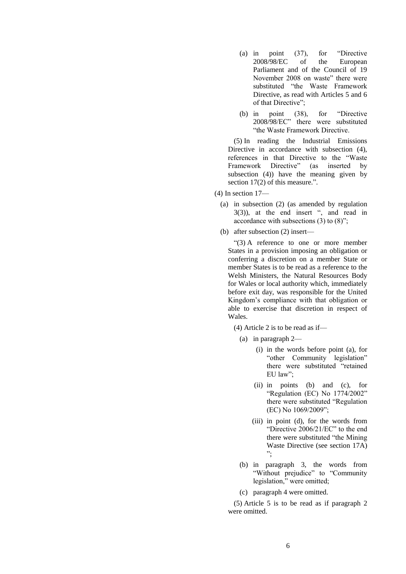- (a) in point (37), for "Directive 2008/98/EC of the European Parliament and of the Council of 19 November 2008 on waste" there were substituted "the Waste Framework Directive, as read with Articles 5 and 6 of that Directive";
- (b) in point (38), for "Directive 2008/98/EC" there were substituted "the Waste Framework Directive.

(5) In reading the Industrial Emissions Directive in accordance with subsection  $(4)$ , references in that Directive to the "Waste Framework Directive" (as inserted by subsection (4)) have the meaning given by section 17(2) of this measure.".

- (4) In section 17—
	- (a) in subsection (2) (as amended by regulation 3(3)), at the end insert ", and read in accordance with subsections (3) to (8)";
	- (b) after subsection (2) insert—

"(3) A reference to one or more member States in a provision imposing an obligation or conferring a discretion on a member State or member States is to be read as a reference to the Welsh Ministers, the Natural Resources Body for Wales or local authority which, immediately before exit day, was responsible for the United Kingdom's compliance with that obligation or able to exercise that discretion in respect of Wales.

(4) Article 2 is to be read as if—

- (a) in paragraph 2—
	- (i) in the words before point (a), for "other Community legislation" there were substituted "retained EU law";
	- (ii) in points (b) and (c), for "Regulation (EC) No 1774/2002" there were substituted "Regulation (EC) No 1069/2009";
	- (iii) in point (d), for the words from "Directive 2006/21/EC" to the end there were substituted "the Mining Waste Directive (see section 17A) ";
- (b) in paragraph 3, the words from "Without prejudice" to "Community legislation," were omitted;
- (c) paragraph 4 were omitted.

(5) Article 5 is to be read as if paragraph 2 were omitted.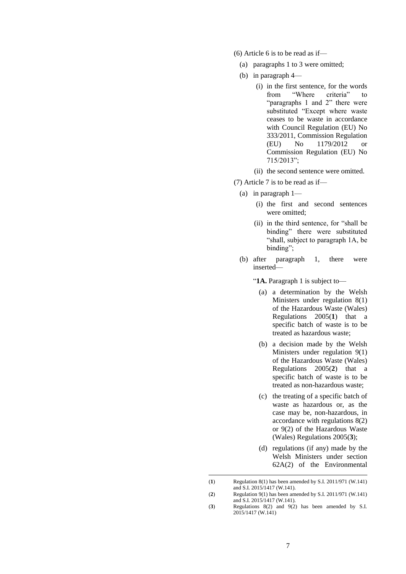- (6) Article 6 is to be read as if—
	- (a) paragraphs 1 to 3 were omitted;
	- (b) in paragraph 4—
		- (i) in the first sentence, for the words<br>from "Where criteria" to from "Where criteria" to "paragraphs 1 and 2" there were substituted "Except where waste ceases to be waste in accordance with Council Regulation (EU) No 333/2011, Commission Regulation (EU) No 1179/2012 or Commission Regulation (EU) No 715/2013";
		- (ii) the second sentence were omitted.
- (7) Article 7 is to be read as if—
	- (a) in paragraph 1—
		- (i) the first and second sentences were omitted;
		- (ii) in the third sentence, for "shall be binding" there were substituted "shall, subject to paragraph 1A, be binding";
	- (b) after paragraph 1, there were inserted—

"**1A.** Paragraph 1 is subject to—

- (a) a determination by the Welsh Ministers under regulation 8(1) of the Hazardous Waste (Wales) Regulations 2005(**1**) that a specific batch of waste is to be treated as hazardous waste;
- (b) a decision made by the Welsh Ministers under regulation 9(1) of the Hazardous Waste (Wales) Regulations 2005(**2**) that a specific batch of waste is to be treated as non-hazardous waste;
- (c) the treating of a specific batch of waste as hazardous or, as the case may be, non-hazardous, in accordance with regulations 8(2) or 9(2) of the Hazardous Waste (Wales) Regulations 2005(**3**);
- (d) regulations (if any) made by the Welsh Ministers under section 62A(2) of the Environmental

<sup>(</sup>**1**) Regulation 8(1) has been amended by S.I. 2011/971 (W.141) and S.I. 2015/1417 (W.141).

<sup>(</sup>**2**) Regulation 9(1) has been amended by S.I. 2011/971 (W.141) and S.I. 2015/1417 (W.141).

<sup>(</sup>**3**) Regulations 8(2) and 9(2) has been amended by S.I. 2015/1417 (W.141)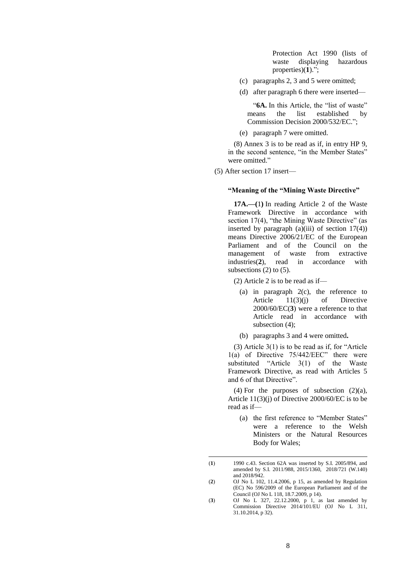Protection Act 1990 (lists of waste displaying hazardous properties)(**1**).";

- (c) paragraphs 2, 3 and 5 were omitted;
- (d) after paragraph 6 there were inserted—

"**6A.** In this Article, the "list of waste" means the list established by Commission Decision 2000/532/EC.";

(e) paragraph 7 were omitted.

(8) Annex 3 is to be read as if, in entry HP 9, in the second sentence, "in the Member States" were omitted."

(5) After section 17 insert—

## **"Meaning of the "Mining Waste Directive"**

**17A.—(**1**)** In reading Article 2 of the Waste Framework Directive in accordance with section 17(4), "the Mining Waste Directive" (as inserted by paragraph  $(a)(iii)$  of section  $17(4)$ ) means Directive 2006/21/EC of the European Parliament and of the Council on the management of waste from extractive industries(**2**), read in accordance with subsections  $(2)$  to  $(5)$ .

(2) Article 2 is to be read as if—

- (a) in paragraph 2(c), the reference to Article 11(3)(j) of Directive 2000/60/EC(**3**) were a reference to that Article read in accordance with subsection (4);
- (b) paragraphs 3 and 4 were omitted**.**

(3) Article 3(1) is to be read as if, for "Article 1(a) of Directive 75/442/EEC" there were substituted "Article 3(1) of the Waste Framework Directive, as read with Articles 5 and 6 of that Directive".

(4) For the purposes of subsection  $(2)(a)$ , Article 11(3)(j) of Directive 2000/60/EC is to be read as if—

(a) the first reference to "Member States" were a reference to the Welsh Ministers or the Natural Resources Body for Wales;

<sup>(</sup>**1**) 1990 c.43. Section 62A was inserted by S.I. 2005/894, and amended by S.I. 2011/988, 2015/1360, 2018/721 (W.140) and 2018/942.

<sup>(</sup>**2**) OJ No L 102, 11.4.2006, p 15, as amended by Regulation (EC) No 596/2009 of the European Parliament and of the Council (OJ No L 118, 18.7.2009, p 14).

<sup>(</sup>**3**) OJ No L 327, 22.12.2000, p 1, as last amended by Commission Directive 2014/101/EU (OJ No L 311, 31.10.2014, p 32).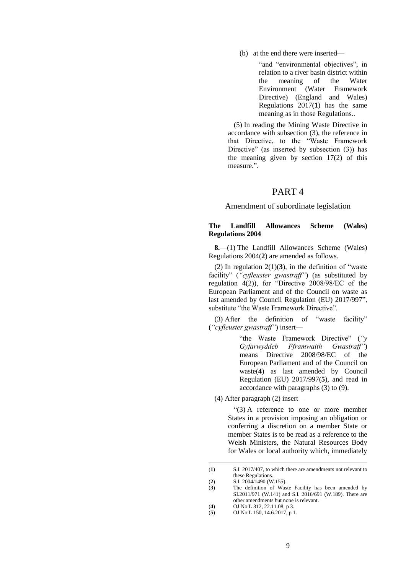(b) at the end there were inserted—

"and "environmental objectives", in relation to a river basin district within the meaning of the Water Environment (Water Framework Directive) (England and Wales) Regulations 2017(**1**) has the same meaning as in those Regulations..

(5) In reading the Mining Waste Directive in accordance with subsection (3), the reference in that Directive, to the "Waste Framework Directive" (as inserted by subsection (3)) has the meaning given by section 17(2) of this measure.".

# PART 4

## Amendment of subordinate legislation

## **The Landfill Allowances Scheme (Wales) Regulations 2004**

**8.**—(1) The Landfill Allowances Scheme (Wales) Regulations 2004(**2**) are amended as follows.

(2) In regulation  $2(1)(3)$ , in the definition of "waste" facility" (*"cyfleuster gwastraff"*) (as substituted by regulation 4(2)), for "Directive 2008/98/EC of the European Parliament and of the Council on waste as last amended by Council Regulation (EU) 2017/997", substitute "the Waste Framework Directive".

(3) After the definition of "waste facility" (*"cyfleuster gwastraff"*) insert—

> "the Waste Framework Directive" (*"y Gyfarwyddeb Fframwaith Gwastraff"*) means Directive 2008/98/EC of the European Parliament and of the Council on waste(**4**) as last amended by Council Regulation (EU) 2017/997(**5**), and read in accordance with paragraphs (3) to (9).

(4) After paragraph (2) insert—

"(3) A reference to one or more member States in a provision imposing an obligation or conferring a discretion on a member State or member States is to be read as a reference to the Welsh Ministers, the Natural Resources Body for Wales or local authority which, immediately

<sup>(</sup>**1**) S.I. 2017/407, to which there are amendments not relevant to these Regulations.

<sup>(</sup>**2**) S.I. 2004/1490 (W.155).

The definition of Waste Facility has been amended by SI.2011/971 (W.141) and S.I. 2016/691 (W.189). There are other amendments but none is relevant.

<sup>(</sup>**4**) OJ No L 312, 22.11.08, p 3.

<sup>(</sup>**5**) OJ No L 150, 14.6.2017, p 1.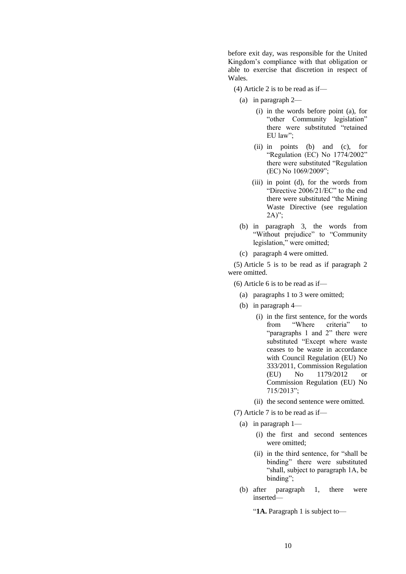before exit day, was responsible for the United Kingdom's compliance with that obligation or able to exercise that discretion in respect of Wales.

- (4) Article 2 is to be read as if—
	- (a) in paragraph 2—
		- (i) in the words before point (a), for "other Community legislation" there were substituted "retained EU law";
		- (ii) in points (b) and (c), for "Regulation (EC) No 1774/2002" there were substituted "Regulation (EC) No 1069/2009";
		- (iii) in point (d), for the words from "Directive 2006/21/EC" to the end there were substituted "the Mining Waste Directive (see regulation  $2A)$ ";
	- (b) in paragraph 3, the words from "Without prejudice" to "Community legislation," were omitted;
	- (c) paragraph 4 were omitted.

(5) Article 5 is to be read as if paragraph 2 were omitted.

- (6) Article 6 is to be read as if—
	- (a) paragraphs 1 to 3 were omitted;
	- (b) in paragraph 4—
		- (i) in the first sentence, for the words<br>from "Where criteria" to from "Where criteria" to "paragraphs 1 and 2" there were substituted "Except where waste ceases to be waste in accordance with Council Regulation (EU) No 333/2011, Commission Regulation (EU) No 1179/2012 or Commission Regulation (EU) No 715/2013";
		- (ii) the second sentence were omitted.

(7) Article 7 is to be read as if—

- (a) in paragraph 1—
	- (i) the first and second sentences were omitted:
	- (ii) in the third sentence, for "shall be binding" there were substituted "shall, subject to paragraph 1A, be binding";
- (b) after paragraph 1, there were inserted—

"**1A.** Paragraph 1 is subject to—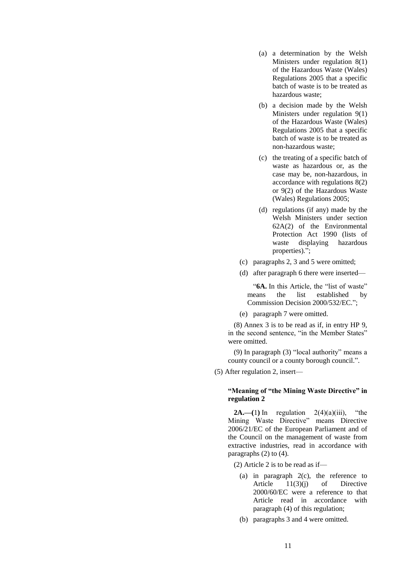- (a) a determination by the Welsh Ministers under regulation 8(1) of the Hazardous Waste (Wales) Regulations 2005 that a specific batch of waste is to be treated as hazardous waste;
- (b) a decision made by the Welsh Ministers under regulation 9(1) of the Hazardous Waste (Wales) Regulations 2005 that a specific batch of waste is to be treated as non-hazardous waste;
- (c) the treating of a specific batch of waste as hazardous or, as the case may be, non-hazardous, in accordance with regulations 8(2) or 9(2) of the Hazardous Waste (Wales) Regulations 2005;
- (d) regulations (if any) made by the Welsh Ministers under section 62A(2) of the Environmental Protection Act 1990 (lists of waste displaying hazardous properties).";
- (c) paragraphs 2, 3 and 5 were omitted;
- (d) after paragraph 6 there were inserted—

"**6A.** In this Article, the "list of waste" means the list established by Commission Decision 2000/532/EC.";

(e) paragraph 7 were omitted.

(8) Annex 3 is to be read as if, in entry HP 9, in the second sentence, "in the Member States" were omitted.

(9) In paragraph (3) "local authority" means a county council or a county borough council.".

(5) After regulation 2, insert—

## **"Meaning of "the Mining Waste Directive" in regulation 2**

**2A.—(1)** In regulation  $2(4)(a)(iii)$ , "the Mining Waste Directive" means Directive 2006/21/EC of the European Parliament and of the Council on the management of waste from extractive industries, read in accordance with paragraphs (2) to (4).

(2) Article 2 is to be read as if—

- (a) in paragraph 2(c), the reference to Article 11(3)(j) of Directive 2000/60/EC were a reference to that Article read in accordance with paragraph (4) of this regulation;
- (b) paragraphs 3 and 4 were omitted.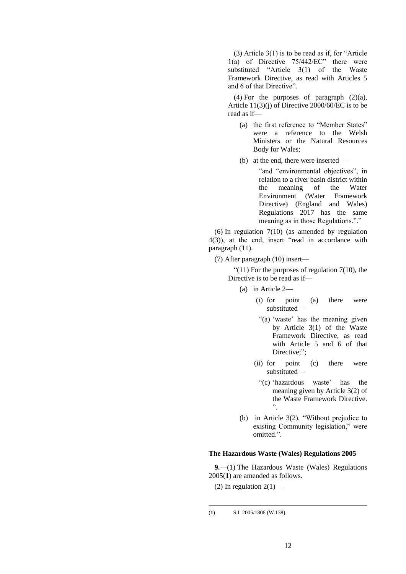(3) Article 3(1) is to be read as if, for "Article 1(a) of Directive 75/442/EC" there were substituted "Article 3(1) of the Waste Framework Directive, as read with Articles 5 and 6 of that Directive".

(4) For the purposes of paragraph  $(2)(a)$ , Article 11(3)(j) of Directive 2000/60/EC is to be read as if—

- (a) the first reference to "Member States" were a reference to the Welsh Ministers or the Natural Resources Body for Wales;
- (b) at the end, there were inserted—

"and "environmental objectives", in relation to a river basin district within the meaning of the Water Environment (Water Framework Directive) (England and Wales) Regulations 2017 has the same meaning as in those Regulations."."

(6) In regulation 7(10) (as amended by regulation 4(3)), at the end, insert "read in accordance with paragraph (11).

(7) After paragraph (10) insert—

" $(11)$  For the purposes of regulation 7(10), the Directive is to be read as if—

- (a) in Article 2—
	- (i) for point (a) there were substituted—
	- "(a) 'waste' has the meaning given by Article 3(1) of the Waste Framework Directive, as read with Article 5 and 6 of that Directive;":
	- (ii) for point (c) there were substituted—
		- "(c) 'hazardous waste' has the meaning given by Article 3(2) of the Waste Framework Directive. ".
- (b) in Article 3(2), "Without prejudice to existing Community legislation," were omitted.".

### **The Hazardous Waste (Wales) Regulations 2005**

**9.**—(1) The Hazardous Waste (Wales) Regulations 2005(**1**) are amended as follows.

(2) In regulation  $2(1)$ —

<sup>(</sup>**1**) S.I. 2005/1806 (W.138).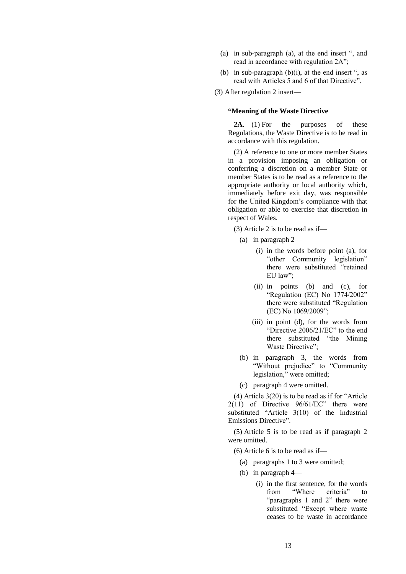- (a) in sub-paragraph (a), at the end insert ", and read in accordance with regulation 2A";
- (b) in sub-paragraph  $(b)(i)$ , at the end insert ", as read with Articles 5 and 6 of that Directive".

## **"Meaning of the Waste Directive**

**2A**.—(1) For the purposes of these Regulations, the Waste Directive is to be read in accordance with this regulation.

(2) A reference to one or more member States in a provision imposing an obligation or conferring a discretion on a member State or member States is to be read as a reference to the appropriate authority or local authority which, immediately before exit day, was responsible for the United Kingdom's compliance with that obligation or able to exercise that discretion in respect of Wales.

(3) Article 2 is to be read as if—

- (a) in paragraph 2—
	- (i) in the words before point (a), for "other Community legislation" there were substituted "retained EU law";
	- (ii) in points (b) and (c), for "Regulation (EC) No 1774/2002" there were substituted "Regulation (EC) No 1069/2009";
	- (iii) in point (d), for the words from "Directive 2006/21/EC" to the end there substituted "the Mining Waste Directive";
- (b) in paragraph 3, the words from "Without prejudice" to "Community legislation," were omitted;

(c) paragraph 4 were omitted.

(4) Article 3(20) is to be read as if for "Article 2(11) of Directive 96/61/EC" there were substituted "Article 3(10) of the Industrial Emissions Directive".

(5) Article 5 is to be read as if paragraph 2 were omitted.

- (6) Article 6 is to be read as if—
	- (a) paragraphs 1 to 3 were omitted;
	- (b) in paragraph 4—
		- (i) in the first sentence, for the words from "Where criteria" to "paragraphs 1 and 2" there were substituted "Except where waste ceases to be waste in accordance

<sup>(3)</sup> After regulation 2 insert—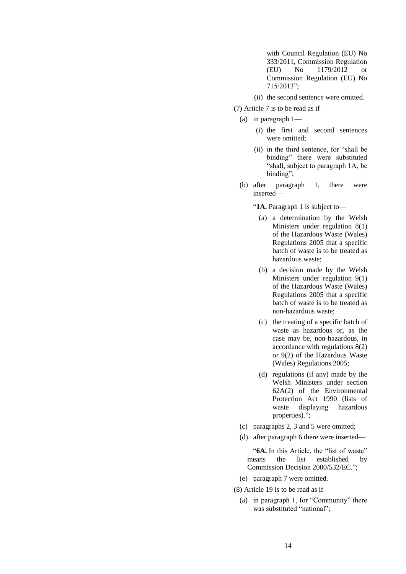with Council Regulation (EU) No 333/2011, Commission Regulation (EU) No 1179/2012 or Commission Regulation (EU) No 715/2013";

(ii) the second sentence were omitted.

- (7) Article 7 is to be read as if—
	- (a) in paragraph 1—
		- (i) the first and second sentences were omitted;
		- (ii) in the third sentence, for "shall be binding" there were substituted "shall, subject to paragraph 1A, be binding";
	- (b) after paragraph 1, there were inserted—

"**1A.** Paragraph 1 is subject to—

- (a) a determination by the Welsh Ministers under regulation 8(1) of the Hazardous Waste (Wales) Regulations 2005 that a specific batch of waste is to be treated as hazardous waste;
- (b) a decision made by the Welsh Ministers under regulation 9(1) of the Hazardous Waste (Wales) Regulations 2005 that a specific batch of waste is to be treated as non-hazardous waste;
- (c) the treating of a specific batch of waste as hazardous or, as the case may be, non-hazardous, in accordance with regulations 8(2) or 9(2) of the Hazardous Waste (Wales) Regulations 2005;
- (d) regulations (if any) made by the Welsh Ministers under section 62A(2) of the Environmental Protection Act 1990 (lists of waste displaying hazardous properties).";
- (c) paragraphs 2, 3 and 5 were omitted;
- (d) after paragraph 6 there were inserted—

"6A. In this Article, the "list of waste" means the list established by Commission Decision 2000/532/EC.";

- (e) paragraph 7 were omitted.
- (8) Article 19 is to be read as if—
	- (a) in paragraph 1, for "Community" there was substituted "national";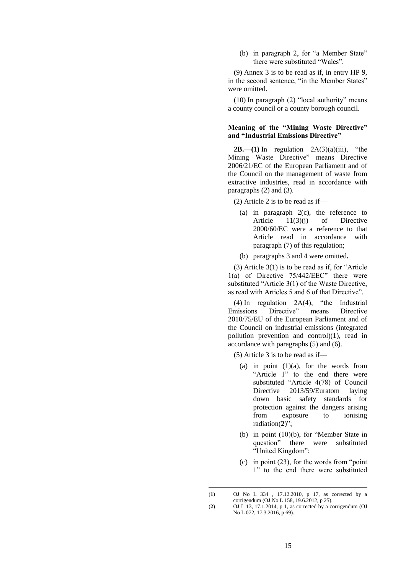(b) in paragraph 2, for "a Member State" there were substituted "Wales".

(9) Annex 3 is to be read as if, in entry HP 9, in the second sentence, "in the Member States" were omitted.

(10) In paragraph (2) "local authority" means a county council or a county borough council.

# **Meaning of the "Mining Waste Directive" and "Industrial Emissions Directive"**

**2B.**—(1) In regulation  $2A(3)(a)(iii)$ , "the Mining Waste Directive" means Directive 2006/21/EC of the European Parliament and of the Council on the management of waste from extractive industries, read in accordance with paragraphs (2) and (3).

(2) Article 2 is to be read as if—

- (a) in paragraph 2(c), the reference to Article 11(3)(j) of Directive 2000/60/EC were a reference to that Article read in accordance with paragraph (7) of this regulation;
- (b) paragraphs 3 and 4 were omitted**.**

(3) Article 3(1) is to be read as if, for "Article 1(a) of Directive 75/442/EEC" there were substituted "Article 3(1) of the Waste Directive, as read with Articles 5 and 6 of that Directive".

(4) In regulation 2A(4), "the Industrial Emissions Directive" means Directive 2010/75/EU of the European Parliament and of the Council on industrial emissions (integrated pollution prevention and control)(**1**), read in accordance with paragraphs (5) and (6).

(5) Article 3 is to be read as if—

- (a) in point  $(1)(a)$ , for the words from "Article 1" to the end there were substituted "Article 4(78) of Council Directive 2013/59/Euratom laying down basic safety standards for protection against the dangers arising from exposure to ionising radiation(**2**)";
- (b) in point (10)(b), for "Member State in question" there were substituted "United Kingdom";
- (c) in point (23), for the words from "point 1" to the end there were substituted

<sup>(</sup>**1**) OJ No L 334 , 17.12.2010, p 17, as corrected by a corrigendum (OJ No L 158, 19.6.2012, p 25).

<sup>(</sup>**2**) OJ L 13, 17.1.2014, p 1, as corrected by a corrigendum (OJ No L 072, 17.3.2016, p 69).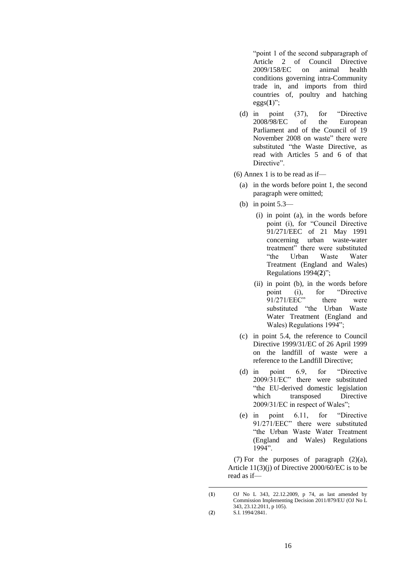"point 1 of the second subparagraph of<br>Article 2 of Council Directive Article 2 of Council Directive<br>2009/158/EC on animal health 2009/158/EC conditions governing intra-Community trade in, and imports from third countries of, poultry and hatching eggs $(1)$ ";

(d) in point (37), for "Directive 2008/98/EC of the European Parliament and of the Council of 19 November 2008 on waste" there were substituted "the Waste Directive, as read with Articles 5 and 6 of that Directive".

 $(6)$  Annex 1 is to be read as if—

- (a) in the words before point 1, the second paragraph were omitted;
- (b) in point 5.3—
	- (i) in point (a), in the words before point (i), for "Council Directive 91/271/EEC of 21 May 1991 concerning urban waste-water treatment" there were substituted "the Urban Waste Water Treatment (England and Wales) Regulations 1994(**2**)";
	- (ii) in point (b), in the words before point (i), for "Directive 91/271/EEC" there were substituted "the Urban Waste Water Treatment (England and Wales) Regulations 1994";
- (c) in point 5.4, the reference to Council Directive 1999/31/EC of 26 April 1999 on the landfill of waste were a reference to the Landfill Directive;
- (d) in point 6.9, for "Directive 2009/31/EC" there were substituted "the EU-derived domestic legislation which transposed Directive 2009/31/EC in respect of Wales";
- (e) in point 6.11, for "Directive 91/271/EEC" there were substituted "the Urban Waste Water Treatment (England and Wales) Regulations 1994".

(7) For the purposes of paragraph  $(2)(a)$ , Article 11(3)(j) of Directive 2000/60/EC is to be read as if—

<sup>(</sup>**1**) OJ No L 343, 22.12.2009, p 74, as last amended by Commission Implementing Decision 2011/879/EU (OJ No L 343, 23.12.2011, p 105).

<sup>(</sup>**2**) S.I. 1994/2841.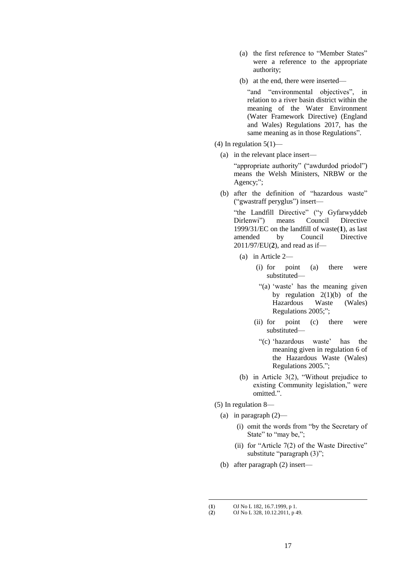- (a) the first reference to "Member States" were a reference to the appropriate authority;
- (b) at the end, there were inserted—

"and "environmental objectives", in relation to a river basin district within the meaning of the Water Environment (Water Framework Directive) (England and Wales) Regulations 2017, has the same meaning as in those Regulations".

- (4) In regulation  $5(1)$ 
	- (a) in the relevant place insert—

"appropriate authority" ("awdurdod priodol") means the Welsh Ministers, NRBW or the Agency;";

(b) after the definition of "hazardous waste" ("gwastraff peryglus") insert—

"the Landfill Directive" ("y Gyfarwyddeb<br>Dirlenwi") means Council Directive Dirlenwi") means Council Directive 1999/31/EC on the landfill of waste(**1**), as last amended by Council Directive 2011/97/EU(**2**), and read as if—

- (a) in Article 2—
	- (i) for point (a) there were substituted—
		- "(a) 'waste' has the meaning given by regulation  $2(1)(b)$  of the Hazardous Waste (Wales) Regulations 2005;";
	- (ii) for point (c) there were substituted—
	- "(c) 'hazardous waste' has the meaning given in regulation 6 of the Hazardous Waste (Wales) Regulations 2005.";
- (b) in Article 3(2), "Without prejudice to existing Community legislation," were omitted.".
- (5) In regulation 8—
	- (a) in paragraph  $(2)$ 
		- (i) omit the words from "by the Secretary of State" to "may be,";
		- (ii) for "Article  $7(2)$  of the Waste Directive" substitute "paragraph (3)";
	- (b) after paragraph (2) insert—

<sup>(</sup>**1**) OJ No L 182, 16.7.1999, p 1.<br>(**2**) OJ No L 328, 10.12.2011, p 4

<sup>(</sup>**2**) OJ No L 328, 10.12.2011, p 49.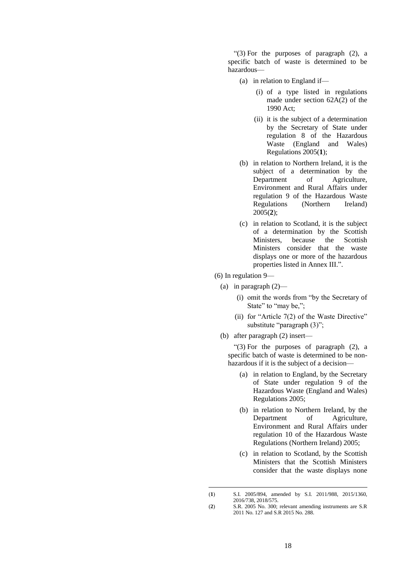"(3) For the purposes of paragraph (2), a specific batch of waste is determined to be hazardous—

- (a) in relation to England if—
	- (i) of a type listed in regulations made under section 62A(2) of the 1990 Act;
	- (ii) it is the subject of a determination by the Secretary of State under regulation 8 of the Hazardous Waste (England and Wales) Regulations 2005(**1**);
- (b) in relation to Northern Ireland, it is the subject of a determination by the Department of Agriculture, Environment and Rural Affairs under regulation 9 of the Hazardous Waste Regulations (Northern Ireland) 2005(**2**);
- (c) in relation to Scotland, it is the subject of a determination by the Scottish Ministers, because the Scottish Ministers consider that the waste displays one or more of the hazardous properties listed in Annex III.".
- (6) In regulation 9—

1

- (a) in paragraph (2)—
	- (i) omit the words from "by the Secretary of State" to "may be,";
	- (ii) for "Article 7(2) of the Waste Directive" substitute "paragraph (3)";
- (b) after paragraph (2) insert—

"(3) For the purposes of paragraph (2), a specific batch of waste is determined to be nonhazardous if it is the subject of a decision—

- (a) in relation to England, by the Secretary of State under regulation 9 of the Hazardous Waste (England and Wales) Regulations 2005;
- (b) in relation to Northern Ireland, by the Department of Agriculture, Environment and Rural Affairs under regulation 10 of the Hazardous Waste Regulations (Northern Ireland) 2005;
- (c) in relation to Scotland, by the Scottish Ministers that the Scottish Ministers consider that the waste displays none

<sup>(</sup>**1**) S.I. 2005/894, amended by S.I. 2011/988, 2015/1360, 2016/738, 2018/575.

<sup>(</sup>**2**) S.R. 2005 No. 300; relevant amending instruments are S.R 2011 No. 127 and S.R 2015 No. 288.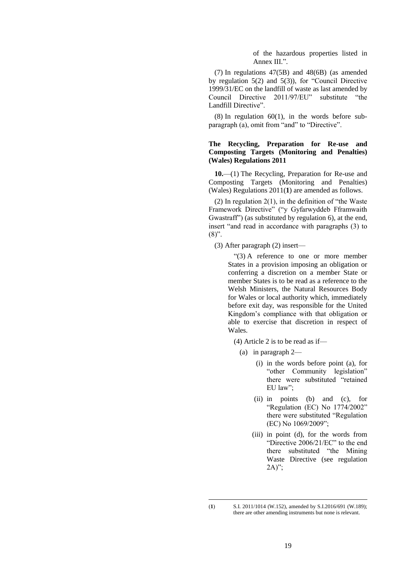of the hazardous properties listed in Annex III.".

(7) In regulations 47(5B) and 48(6B) (as amended by regulation 5(2) and 5(3)), for "Council Directive 1999/31/EC on the landfill of waste as last amended by Council Directive 2011/97/EU" substitute "the Landfill Directive".

 $(8)$  In regulation  $60(1)$ , in the words before subparagraph (a), omit from "and" to "Directive".

## **The Recycling, Preparation for Re-use and Composting Targets (Monitoring and Penalties) (Wales) Regulations 2011**

**10.**—(1) The Recycling, Preparation for Re-use and Composting Targets (Monitoring and Penalties) (Wales) Regulations 2011(**1**) are amended as follows.

(2) In regulation  $2(1)$ , in the definition of "the Waste" Framework Directive" ("y Gyfarwyddeb Fframwaith Gwastraff") (as substituted by regulation 6), at the end, insert "and read in accordance with paragraphs (3) to  $(8)$ ".

(3) After paragraph (2) insert—

"(3) A reference to one or more member States in a provision imposing an obligation or conferring a discretion on a member State or member States is to be read as a reference to the Welsh Ministers, the Natural Resources Body for Wales or local authority which, immediately before exit day, was responsible for the United Kingdom's compliance with that obligation or able to exercise that discretion in respect of Wales.

(4) Article 2 is to be read as if—

- (a) in paragraph 2—
	- (i) in the words before point (a), for "other Community legislation" there were substituted "retained EU law":
	- (ii) in points (b) and (c), for "Regulation (EC) No 1774/2002" there were substituted "Regulation (EC) No 1069/2009";
	- (iii) in point (d), for the words from "Directive 2006/21/EC" to the end there substituted "the Mining Waste Directive (see regulation 2A)";

<sup>(</sup>**1**) S.I. 2011/1014 (W.152), amended by S.I.2016/691 (W.189); there are other amending instruments but none is relevant.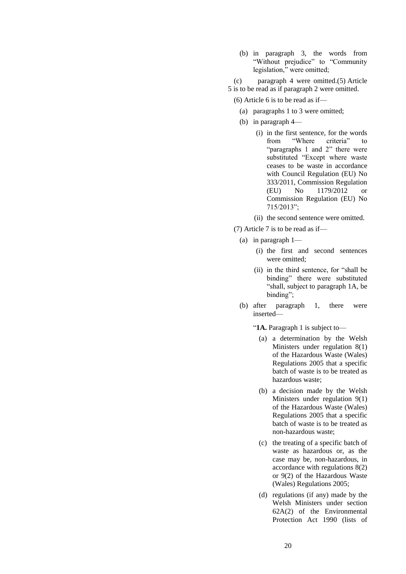(b) in paragraph 3, the words from "Without prejudice" to "Community legislation," were omitted;

(c) paragraph 4 were omitted.(5) Article 5 is to be read as if paragraph 2 were omitted.

- (6) Article 6 is to be read as if—
	- (a) paragraphs 1 to 3 were omitted;
	- (b) in paragraph 4—
		- (i) in the first sentence, for the words from "Where criteria" to "paragraphs 1 and 2" there were substituted "Except where waste ceases to be waste in accordance with Council Regulation (EU) No 333/2011, Commission Regulation (EU) No 1179/2012 or Commission Regulation (EU) No 715/2013";
		- (ii) the second sentence were omitted.
- (7) Article 7 is to be read as if—
	- (a) in paragraph 1—
		- (i) the first and second sentences were omitted<sup>.</sup>
		- (ii) in the third sentence, for "shall be binding" there were substituted "shall, subject to paragraph 1A, be binding";
	- (b) after paragraph 1, there were inserted—

"**1A.** Paragraph 1 is subject to—

- (a) a determination by the Welsh Ministers under regulation 8(1) of the Hazardous Waste (Wales) Regulations 2005 that a specific batch of waste is to be treated as hazardous waste;
- (b) a decision made by the Welsh Ministers under regulation 9(1) of the Hazardous Waste (Wales) Regulations 2005 that a specific batch of waste is to be treated as non-hazardous waste;
- (c) the treating of a specific batch of waste as hazardous or, as the case may be, non-hazardous, in accordance with regulations 8(2) or 9(2) of the Hazardous Waste (Wales) Regulations 2005;
- (d) regulations (if any) made by the Welsh Ministers under section 62A(2) of the Environmental Protection Act 1990 (lists of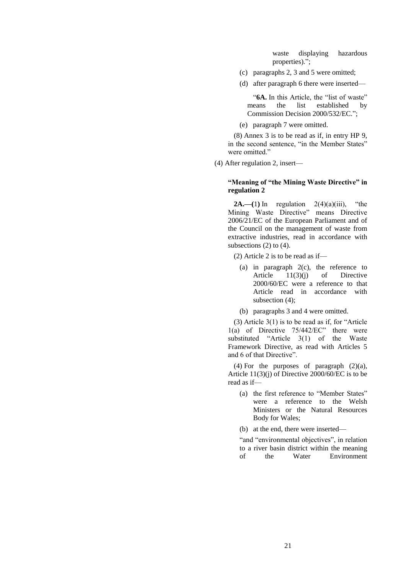waste displaying hazardous properties).";

- (c) paragraphs 2, 3 and 5 were omitted;
- (d) after paragraph 6 there were inserted—

"**6A.** In this Article, the "list of waste" means the list established by Commission Decision 2000/532/EC.";

(e) paragraph 7 were omitted.

(8) Annex 3 is to be read as if, in entry HP 9, in the second sentence, "in the Member States" were omitted."

(4) After regulation 2, insert—

## **"Meaning of "the Mining Waste Directive" in regulation 2**

**2A.—(1)** In regulation  $2(4)(a)(iii)$ , "the Mining Waste Directive" means Directive 2006/21/EC of the European Parliament and of the Council on the management of waste from extractive industries, read in accordance with subsections  $(2)$  to  $(4)$ .

(2) Article 2 is to be read as if—

- (a) in paragraph 2(c), the reference to Article 11(3)(j) of Directive 2000/60/EC were a reference to that Article read in accordance with subsection (4);
- (b) paragraphs 3 and 4 were omitted.

(3) Article 3(1) is to be read as if, for "Article 1(a) of Directive 75/442/EC" there were substituted "Article 3(1) of the Waste Framework Directive, as read with Articles 5 and 6 of that Directive".

(4) For the purposes of paragraph  $(2)(a)$ , Article 11(3)(j) of Directive 2000/60/EC is to be read as if—

- (a) the first reference to "Member States" were a reference to the Welsh Ministers or the Natural Resources Body for Wales;
- (b) at the end, there were inserted—

"and "environmental objectives", in relation to a river basin district within the meaning of the Water Environment